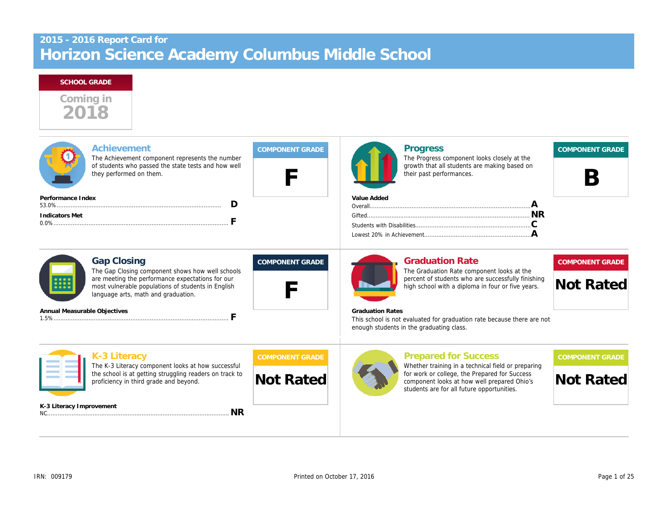# **SCHOOL GRADE**



| Achievement<br>The Achievement component represents the number<br>of students who passed the state tests and how well<br>they performed on them.                                                                        | <b>COMPONENT GRADE</b> | <b>Progress</b><br>The Progress component looks closely at the<br>growth that all students are making based on<br>their past performances.                                      | <b>COMPONENT GRADE</b>                     |
|-------------------------------------------------------------------------------------------------------------------------------------------------------------------------------------------------------------------------|------------------------|---------------------------------------------------------------------------------------------------------------------------------------------------------------------------------|--------------------------------------------|
| Performance Index                                                                                                                                                                                                       |                        | Value Added                                                                                                                                                                     |                                            |
| <b>Indicators Met</b>                                                                                                                                                                                                   |                        |                                                                                                                                                                                 |                                            |
| <b>Gap Closing</b><br>The Gap Closing component shows how well schools<br>are meeting the performance expectations for our<br>most vulnerable populations of students in English<br>language arts, math and graduation. | <b>COMPONENT GRADE</b> | <b>Graduation Rate</b><br>The Graduation Rate component looks at the<br>percent of students who are successfully finishing<br>high school with a diploma in four or five years. | <b>COMPONENT GRADE</b><br><b>Not Rated</b> |
| Annual Measurable Objectives                                                                                                                                                                                            |                        | <b>Graduation Rates</b><br>This school is not evaluated for graduation rate because there are not<br>enough students in the graduating class.                                   |                                            |
| K-3 Literacy<br>The K-3 Literacy component looks at how successful                                                                                                                                                      | <b>COMPONENT GRADE</b> | <b>Prepared for Success</b><br>Whether training in a technical field or preparing                                                                                               | <b>COMPONENT GRADE</b>                     |
| the school is at getting struggling readers on track to<br>proficiency in third grade and beyond.                                                                                                                       | <b>Not Rated</b>       | for work or college, the Prepared for Success<br>component looks at how well prepared Ohio's<br>students are for all future opportunities.                                      | <b>Not Rated</b>                           |
| K-3 Literacy Improvement                                                                                                                                                                                                |                        |                                                                                                                                                                                 |                                            |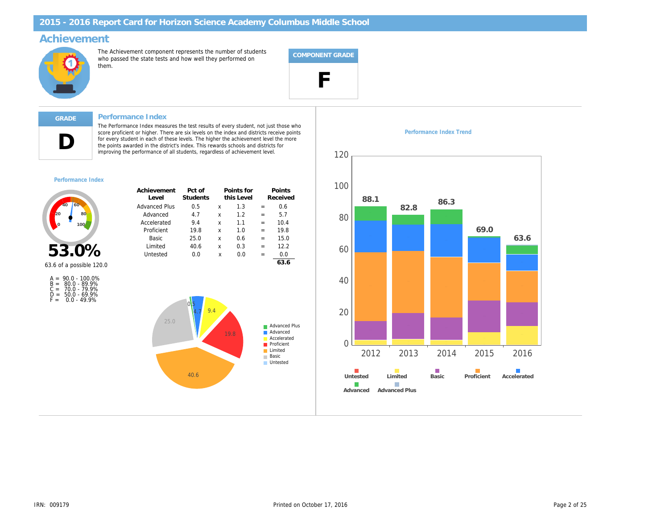# **Achievement**



The Achievement component represents the number of students who passed the state tests and how well they performed on them.



# **D**

## **GRADE Performance Index**

The Performance Index measures the test results of every student, not just those who score proficient or higher. There are six levels on the index and districts receive points for every student in each of these levels. The higher the achievement level the more the points awarded in the district's index. This rewards schools and districts for improving the performance of all students, regardless of achievement level.

#### *Performance Index*



| Achievement<br>Level | Pct of<br>Students |   | Points for<br>this Level |     | Points<br>Received |
|----------------------|--------------------|---|--------------------------|-----|--------------------|
| <b>Advanced Plus</b> | 0.5                | x | 1.3                      | $=$ | 0.6                |
| Advanced             | 4.7                | x | 1.2                      | $=$ | 5.7                |
| Accelerated          | 9.4                | x | 11                       | $=$ | 10.4               |
| Proficient           | 19.8               | x | 1.0                      | $=$ | 19.8               |
| <b>Basic</b>         | 25.0               | x | 0.6                      | $=$ | 15.0               |
| Limited              | 40.6               | x | 0.3                      | $=$ | 12.2               |
| Untested             | 0.0                | X | 0.0                      | $=$ | 0.0                |
|                      |                    |   |                          |     | 63.6               |





#### *Performance Index Trend*

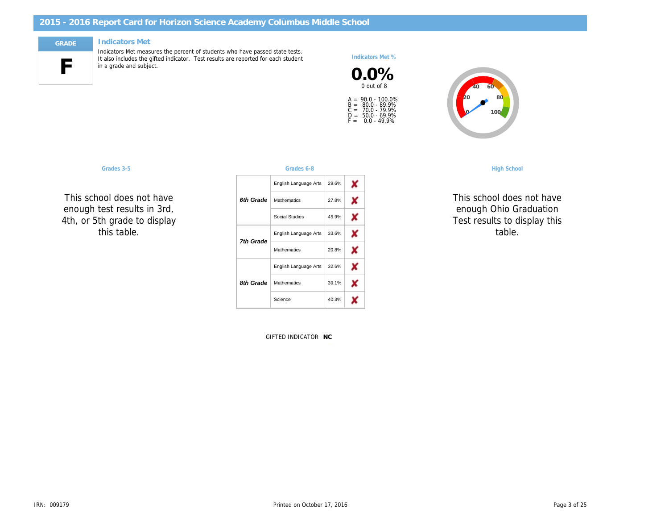# **F**

## **GRADE Indicators Met**

Indicators Met measures the percent of students who have passed state tests. It also includes the gifted indicator. Test results are reported for each student in a grade and subject.

*Indicators Met %*





*This school does not have enough Ohio Graduation Test results to display this table.*

| <b>High School</b>                   |   |       | Grades 6-8            |           | Grades 3-5                                                  |
|--------------------------------------|---|-------|-----------------------|-----------|-------------------------------------------------------------|
|                                      | × | 29.6% | English Language Arts |           |                                                             |
| This school does                     | X | 27.8% | Mathematics           | 6th Grade | This school does not have                                   |
| enough Ohio Gr<br>Test results to di | X | 45.9% | Social Studies        |           | enough test results in 3rd,<br>4th, or 5th grade to display |
| table.                               | × | 33.6% | English Language Arts | 7th Grade | this table.                                                 |
|                                      | X | 20.8% | Mathematics           |           |                                                             |
|                                      | X | 32.6% | English Language Arts |           |                                                             |
|                                      | X | 39.1% | Mathematics           | 8th Grade |                                                             |
|                                      | × | 40.3% | Science               |           |                                                             |
|                                      |   |       |                       |           |                                                             |

GIFTED INDICATOR **NC**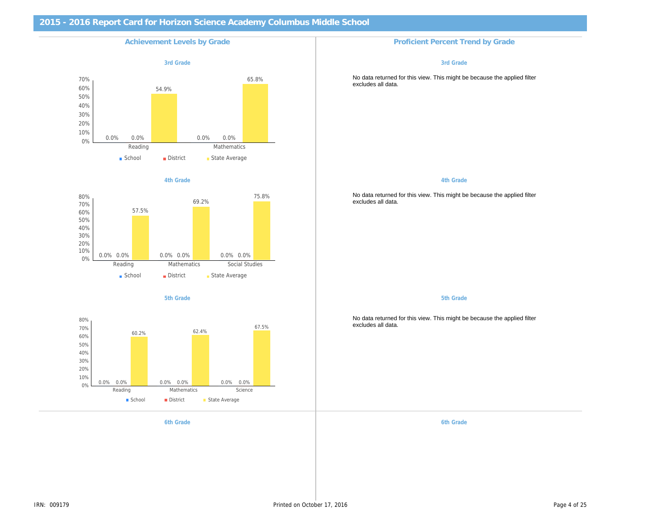

#### *4th Grade*



#### *5th Grade*



#### *6th Grade 6th Grade*

#### *3rd Grade*

No data returned for this view. This might be because the applied filter excludes all data.

#### *4th Grade*

No data returned for this view. This might be because the applied filter excludes all data.

*5th Grade*

No data returned for this view. This might be because the applied filter excludes all data.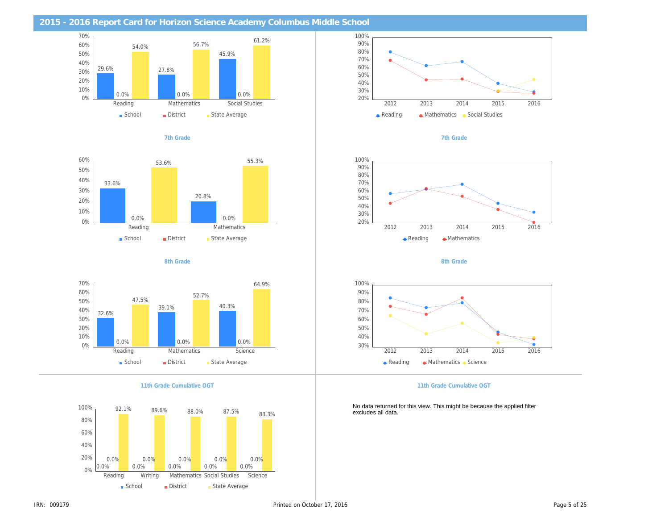

















*7th Grade*



*8th Grade*



#### *11th Grade Cumulative OGT*

No data returned for this view. This might be because the applied filter excludes all data.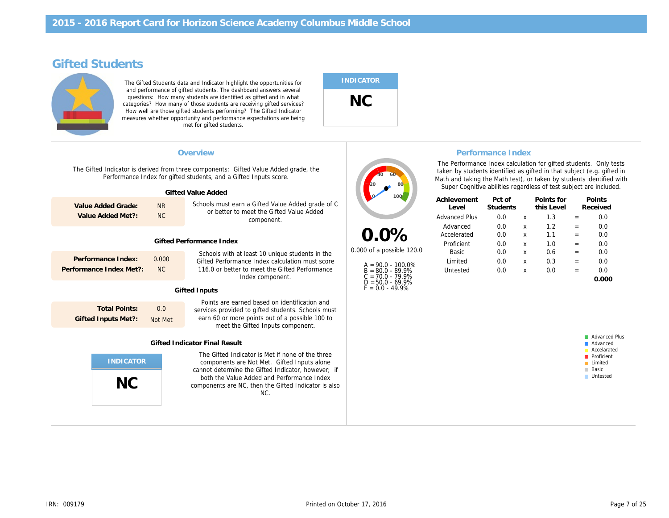# **Gifted Students**



The Gifted Students data and Indicator highlight the opportunities for and performance of gifted students. The dashboard answers several questions: How many students are identified as gifted and in what categories? How many of those students are receiving gifted services? How well are those gifted students performing? The Gifted Indicator measures whether opportunity and performance expectations are being met for gifted students.

# **INDICATOR NC**

The Gifted Indicator is derived from three components: Gifted Value Added grade, the Performance Index for gifted students, and a Gifted Inputs score.

|                                         |                 | Gifted Value Added                                                                                          |
|-----------------------------------------|-----------------|-------------------------------------------------------------------------------------------------------------|
| Value Added Grade:<br>Value Added Met?: | <b>NR</b><br>NC | Schools must earn a Gifted Value Added grade of C<br>or better to meet the Gifted Value Added<br>component. |
|                                         |                 | Gifted Performance Index                                                                                    |

| Performance Index:      | 0.000 |
|-------------------------|-------|
| Performance Index Met?: | NC.   |

Schools with at least 10 unique students in the Gifted Performance Index calculation must score 116.0 or better to meet the Gifted Performance Index component.

#### **Gifted Inputs**

**Total Points: Gifted Inputs Met?:** 0.0 Not Met

Points are earned based on identification and services provided to gifted students. Schools must earn 60 or more points out of a possible 100 to meet the Gifted Inputs component.

#### **Gifted Indicator Final Result**



The Gifted Indicator is Met if none of the three components are Not Met. Gifted Inputs alone cannot determine the Gifted Indicator, however; if both the Value Added and Performance Index components are NC, then the Gifted Indicator is also NC.



**0.0%** *0.000 of a possible 120.0*

> A = 90.0 - 100.0% B = 80.0 - 89.9% C = 70.0 - 79.9%  $\overline{D} = 50.0 - 69.9\%$  $F = 0.0 - 49.9%$

## **Overview Performance Index**

The Performance Index calculation for gifted students. Only tests taken by students identified as gifted in that subject (e.g. gifted in Math and taking the Math test), or taken by students identified with Super Cognitive abilities regardless of test subject are included.

| Pct of<br>Students |   | Points for<br>this Level |                          | Points<br>Received |
|--------------------|---|--------------------------|--------------------------|--------------------|
| 0.0                | X | 13                       |                          | 0.0                |
| 0 O                | X | 1.2                      | -                        | 0.0                |
| 0.0                | x | 1.1                      | $\overline{\phantom{0}}$ | 0.0                |
| 0.0                | X |                          | -                        | 0.0                |
| 0.0                | X | 0.6                      | -                        | 0.0                |
| 0 O                | X | 0.3                      | -                        | 0.0                |
| 0 O                | X | 0.0                      | -                        | 0 O                |
|                    |   |                          |                          |                    |
|                    |   |                          |                          |                    |

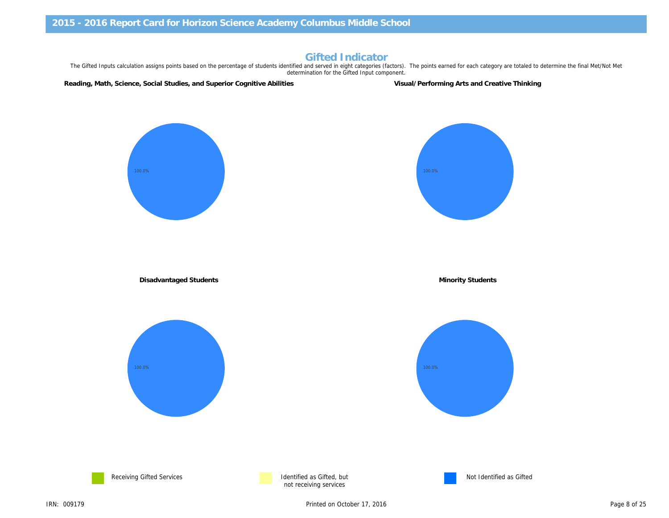# **Gifted Indicator**

The Gifted Inputs calculation assigns points based on the percentage of students identified and served in eight categories (factors). The points earned for each category are totaled to determine the final Met/Not Met determination for the Gifted Input component.

**Reading, Math, Science, Social Studies, and Superior Cognitive Abilities Visual/Performing Arts and Creative Thinking**

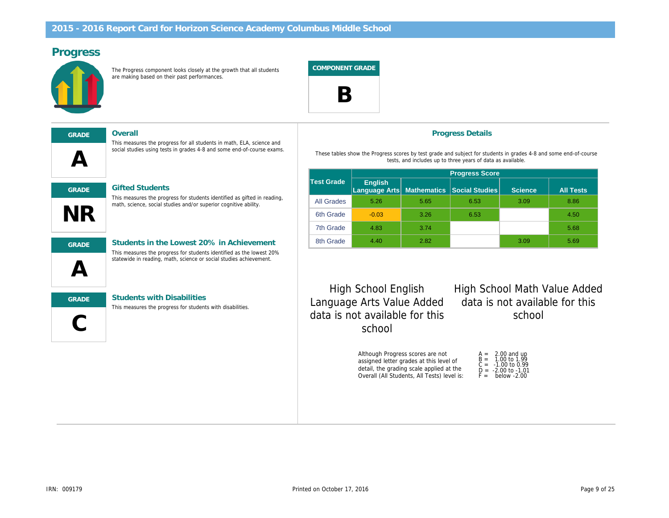# **Progress**



The Progress component looks closely at the growth that all students are making based on their past performances.

**COMPONENT GRADE**



# **A GRADE Overall**

### **GRADE Gifted Students**

This measures the progress for students identified as gifted in reading, math, science, social studies and/or superior cognitive ability.

This measures the progress for all students in math, ELA, science and social studies using tests in grades 4-8 and some end-of-course exams.



**A**

**NR**

# **GRADE Students in the Lowest 20% in Achievement** This measures the progress for students identified as the lowest 20%

statewide in reading, math, science or social studies achievement.



# **GRADE Students with Disabilities**

This measures the progress for students with disabilities.

## **Progress Details**

These tables show the Progress scores by test grade and subject for students in grades 4-8 and some end-of-course tests, and includes up to three years of data as available.

|            |                                             | <b>Progress Score</b> |                       |                |                  |  |  |
|------------|---------------------------------------------|-----------------------|-----------------------|----------------|------------------|--|--|
| Test Grade | <b>English</b><br>Language Arts Mathematics |                       | <b>Social Studies</b> | <b>Science</b> | <b>All Tests</b> |  |  |
| All Grades | 5.26                                        | 5.65                  | 6.53                  | 3.09           | 8.86             |  |  |
| 6th Grade  | $-0.03$                                     | 3.26                  | 6.53                  |                | 4.50             |  |  |
| 7th Grade  | 4.83                                        | 3.74                  |                       |                | 5.68             |  |  |
| 8th Grade  | 4.40                                        | 2.82                  |                       | 3.09           | 5.69             |  |  |

**High School English** *Language Arts Value Added data is not available for this school*

**High School Math Value Added** *data is not available for this school*

Although Progress scores are not assigned letter grades at this level of detail, the grading scale applied at the Overall (All Students, All Tests) level is:

| $A =$ | 2.00 and up<br>1.00 to 1.99 |
|-------|-----------------------------|
| $B =$ |                             |
| $C =$ | $-1.00$ to 0.99             |
| D =   | $-2.00$ to $-1.01$          |
| $F =$ | below -2.00                 |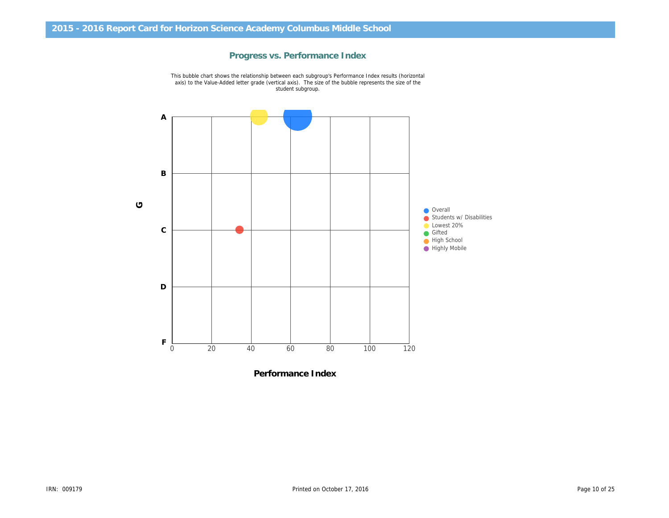# **Progress vs. Performance Index**



This bubble chart shows the relationship between each subgroup's Performance Index results (horizontal axis) to the Value-Added letter grade (vertical axis). The size of the bubble represents the size of the student subgroup.

**Performance Index**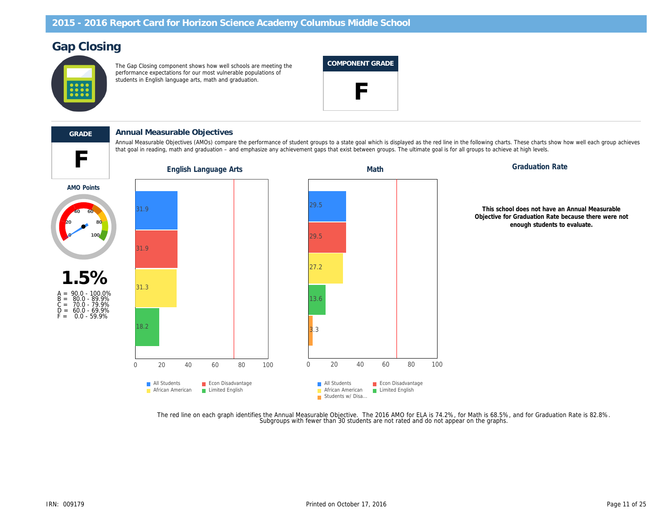# **Gap Closing**



The Gap Closing component shows how well schools are meeting the performance expectations for our most vulnerable populations of students in English language arts, math and graduation.

| COMPONENT GRADE |
|-----------------|
|-----------------|



# **GRADE Annual Measurable Objectives**

Annual Measurable Objectives (AMOs) compare the performance of student groups to a state goal which is displayed as the red line in the following charts. These charts show how well each group achieves that goal in reading, math and graduation – and emphasize any achievement gaps that exist between groups. The ultimate goal is for all groups to achieve at high levels.



The red line on each graph identifies the Annual Measurable Objective. The 2016 AMO for ELA is 74.2%, for Math is 68.5%, and for Graduation Rate is 82.8%.<br>Subgroups with fewer than 30 students are not rated and do not appe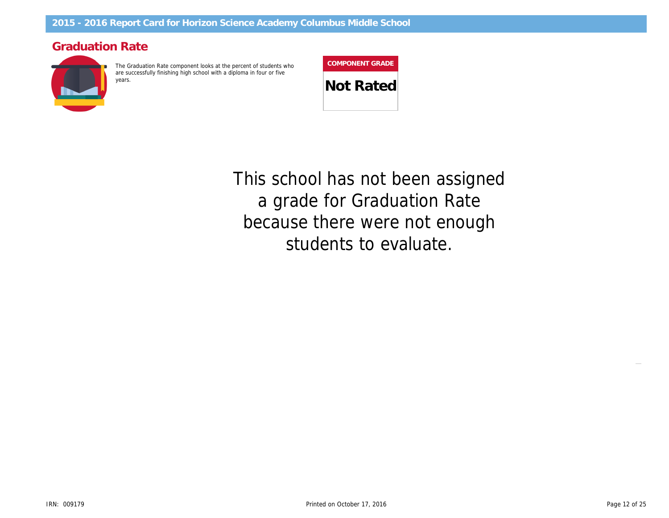# **Graduation Rate**



The Graduation Rate component looks at the percent of students who are successfully finishing high school with a diploma in four or five years. **Not Rated**

**COMPONENT GRADE**

students to evaluate. because there were not enough a grade for Graduation Rate <u>ب</u> ا **40 60 80** *This school has not been assigned*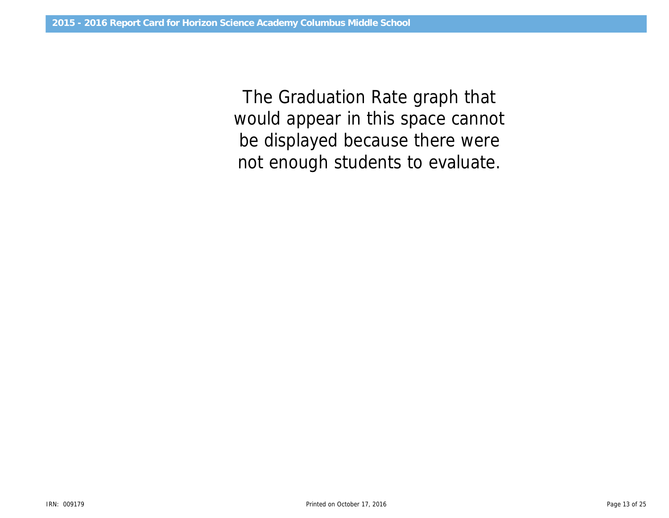would appear in this space cannot *The Graduation Rate graph that be displayed because there were not enough students to evaluate.*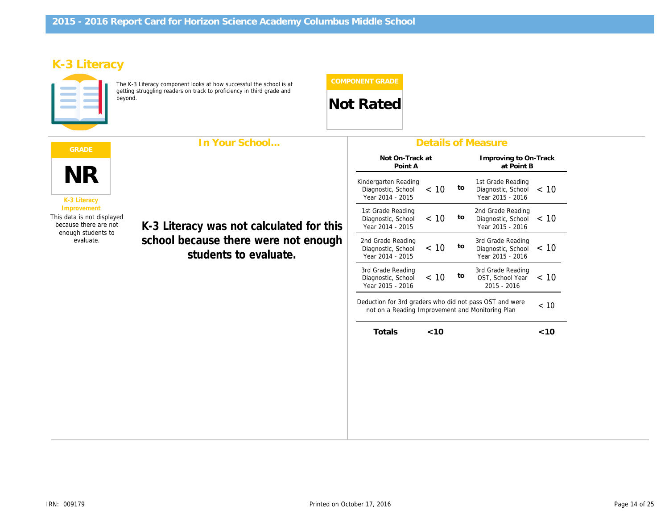# **K-3 Literacy**



The K-3 Literacy component looks at how successful the school is at getting struggling readers on track to proficiency in third grade and

# **beyond.** Not Rated

| In Your School<br><b>GRADE</b>                                                                                              |                                                                                                           | <b>Details of Measure</b>                                                                                           |                                     |                                                             |       |
|-----------------------------------------------------------------------------------------------------------------------------|-----------------------------------------------------------------------------------------------------------|---------------------------------------------------------------------------------------------------------------------|-------------------------------------|-------------------------------------------------------------|-------|
| NR<br>K-3 Literacy<br>Improvement<br>This data is not displayed<br>because there are not<br>enough students to<br>evaluate. |                                                                                                           | Not On-Track at<br>Point A                                                                                          | Improving to On-Track<br>at Point B |                                                             |       |
|                                                                                                                             |                                                                                                           | Kindergarten Reading<br>< 10<br>Diagnostic, School<br>Year 2014 - 2015                                              | to                                  | 1st Grade Reading<br>Diagnostic, School<br>Year 2015 - 2016 | ~< 10 |
|                                                                                                                             | K-3 Literacy was not calculated for this<br>school because there were not enough<br>students to evaluate. | 1st Grade Reading<br>< 10<br>Diagnostic, School<br>Year 2014 - 2015                                                 | to                                  | 2nd Grade Reading<br>Diagnostic, School<br>Year 2015 - 2016 | ~< 10 |
|                                                                                                                             |                                                                                                           | 2nd Grade Reading<br>< 10<br>Diagnostic, School<br>Year 2014 - 2015                                                 | to                                  | 3rd Grade Reading<br>Diagnostic, School<br>Year 2015 - 2016 | ~< 10 |
|                                                                                                                             |                                                                                                           | 3rd Grade Reading<br>< 10<br>Diagnostic, School<br>Year 2015 - 2016                                                 | to                                  | 3rd Grade Reading<br>OST, School Year<br>2015 - 2016        | < 10  |
|                                                                                                                             |                                                                                                           | Deduction for 3rd graders who did not pass OST and were<br>< 10<br>not on a Reading Improvement and Monitoring Plan |                                     |                                                             |       |
|                                                                                                                             |                                                                                                           | Totals<br>< 10                                                                                                      |                                     |                                                             | < 10  |
|                                                                                                                             |                                                                                                           |                                                                                                                     |                                     |                                                             |       |
|                                                                                                                             |                                                                                                           |                                                                                                                     |                                     |                                                             |       |
|                                                                                                                             |                                                                                                           |                                                                                                                     |                                     |                                                             |       |
|                                                                                                                             |                                                                                                           |                                                                                                                     |                                     |                                                             |       |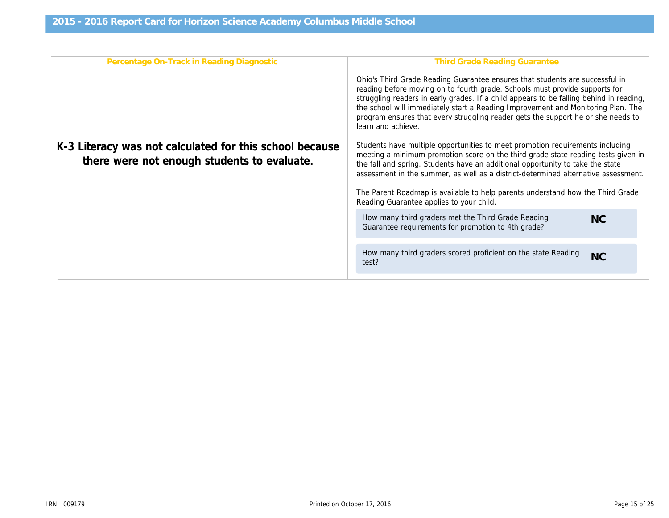| Ohio's Third Grade Reading Guarantee ensures that students are successful in<br>reading before moving on to fourth grade. Schools must provide supports for<br>struggling readers in early grades. If a child appears to be falling behind in reading,<br>the school will immediately start a Reading Improvement and Monitoring Plan. The<br>program ensures that every struggling reader gets the support he or she needs to<br>learn and achieve. |  |  |  |
|------------------------------------------------------------------------------------------------------------------------------------------------------------------------------------------------------------------------------------------------------------------------------------------------------------------------------------------------------------------------------------------------------------------------------------------------------|--|--|--|
| Students have multiple opportunities to meet promotion requirements including<br>meeting a minimum promotion score on the third grade state reading tests given in<br>the fall and spring. Students have an additional opportunity to take the state<br>assessment in the summer, as well as a district-determined alternative assessment.                                                                                                           |  |  |  |
| The Parent Roadmap is available to help parents understand how the Third Grade                                                                                                                                                                                                                                                                                                                                                                       |  |  |  |
| NC                                                                                                                                                                                                                                                                                                                                                                                                                                                   |  |  |  |
| <b>NC</b>                                                                                                                                                                                                                                                                                                                                                                                                                                            |  |  |  |
|                                                                                                                                                                                                                                                                                                                                                                                                                                                      |  |  |  |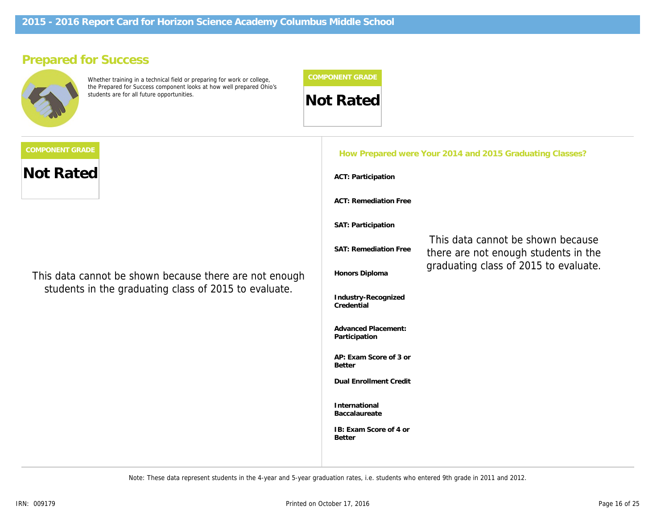# **Prepared for Success**



Whether training in a technical field or preparing for work or college, the Prepared for Success component looks at how well prepared Ohio's students are for all future opportunities.



**Not Rated**

of ho shown bocause that **count an additional 0.3 bonus points** *This data cannot be shown because there are not enough* students in the graduating class of 2015 to evaluate. **and also earned a 3 or higher on at**

| How Prepared were Your 2014 and 2015 Graduating Classes? |                                                                           |  |  |  |
|----------------------------------------------------------|---------------------------------------------------------------------------|--|--|--|
| ACT: Participation                                       |                                                                           |  |  |  |
| <b>ACT: Remediation Free</b>                             |                                                                           |  |  |  |
| SAT: Participation                                       |                                                                           |  |  |  |
| SAT: Remediation Free                                    | This data cannot be shown because<br>there are not enough students in the |  |  |  |
| Honors Diploma                                           | graduating class of 2015 to evaluate.                                     |  |  |  |
| Industry-Recognized<br>Credential                        |                                                                           |  |  |  |
| <b>Advanced Placement:</b><br>Participation              |                                                                           |  |  |  |
| AP: Exam Score of 3 or<br><b>Better</b>                  |                                                                           |  |  |  |
| <b>Dual Enrollment Credit</b>                            |                                                                           |  |  |  |
| International<br>Baccalaureate                           |                                                                           |  |  |  |
| IB: Exam Score of 4 or<br><b>Better</b>                  |                                                                           |  |  |  |
|                                                          |                                                                           |  |  |  |

*Note: These data represent students in the 4-year and 5-year graduation rates, i.e. students who entered 9th grade in 2011 and 2012.*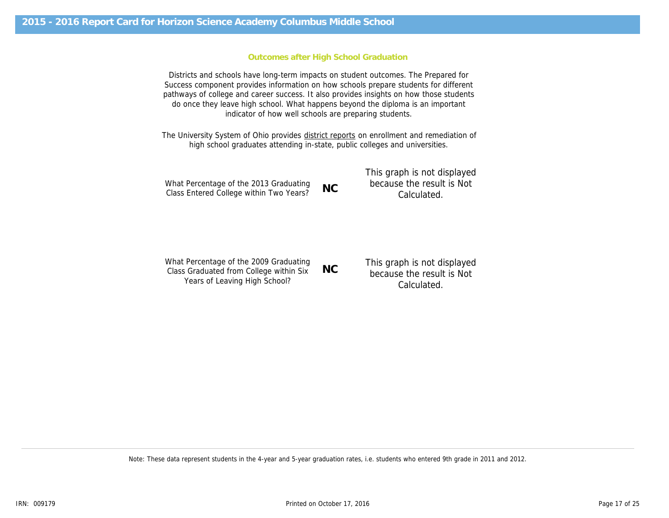### **Outcomes after High School Graduation**

Districts and schools have long-term impacts on student outcomes. The Prepared for Success component provides information on how schools prepare students for different pathways of college and career success. It also provides insights on how those students do once they leave high school. What happens beyond the diploma is an important indicator of how well schools are preparing students.

The University System of Ohio provides district reports on enrollment and remediation of high school graduates attending in-state, public colleges and universities.

|                                         |           | This graph is not displayed |
|-----------------------------------------|-----------|-----------------------------|
| What Percentage of the 2013 Graduating  | <b>NC</b> | because the result is Not   |
| Class Entered College within Two Years? |           | Calculated.                 |

| Class Entered College within Two Years?                                                                            | INC.      | Calculated.                                                             |
|--------------------------------------------------------------------------------------------------------------------|-----------|-------------------------------------------------------------------------|
| What Percentage of the 2009 Graduating<br>Class Graduated from College within Six<br>Years of Leaving High School? | <b>NC</b> | This graph is not displayed<br>because the result is Not<br>Calculated. |

*Note: These data represent students in the 4-year and 5-year graduation rates, i.e. students who entered 9th grade in 2011 and 2012.*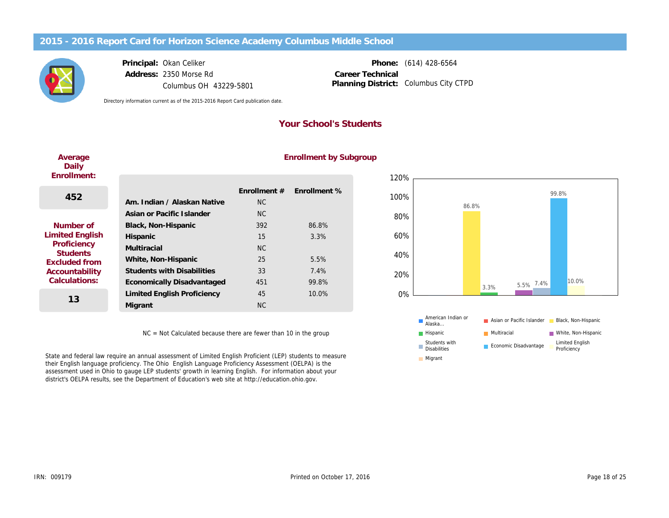

# **Principal:** Okan Celiker **Address:** 2350 Morse Rd

Columbus OH 43229-5801

**Phone:** (614) 428-6564 Planning District: Columbus City CTPD **Career Technical**

*Directory information current as of the 2015-2016 Report Card publication date.*

# **Your School's Students**

### **Average Daily Enrollment:**

# **Enrollment by Subgroup**

| Enrollment:                                                                                                        |                                   |                |              |
|--------------------------------------------------------------------------------------------------------------------|-----------------------------------|----------------|--------------|
| 452                                                                                                                |                                   | Enrollment $#$ | Enrollment % |
|                                                                                                                    | Am. Indian / Alaskan Native       | <b>NC</b>      |              |
|                                                                                                                    | Asian or Pacific Islander         | NC.            |              |
| Number of<br>Limited English<br>Proficiency<br><b>Students</b><br>Excluded from<br>Accountability<br>Calculations: | Black, Non-Hispanic               | 392            | 86.8%        |
|                                                                                                                    | Hispanic                          | 15             | 3.3%         |
|                                                                                                                    | Multiracial                       | NC             |              |
|                                                                                                                    | White, Non-Hispanic               | 25             | 5.5%         |
|                                                                                                                    | <b>Students with Disabilities</b> | 33             | 7.4%         |
|                                                                                                                    | Economically Disadvantaged        | 451            | 99.8%        |
| 13                                                                                                                 | Limited English Proficiency       | 45             | 10.0%        |
|                                                                                                                    | Migrant                           | <b>NC</b>      |              |

NC = Not Calculated because there are fewer than 10 in the group

State and federal law require an annual assessment of Limited English Proficient (LEP) students to measure their English language proficiency. The Ohio English Language Proficiency Assessment (OELPA) is the assessment used in Ohio to gauge LEP students' growth in learning English. For information about your district's OELPA results, see the Department of Education's web site at http://education.ohio.gov.



**Disability** Economic Disadvantage Limited English

Proficiency

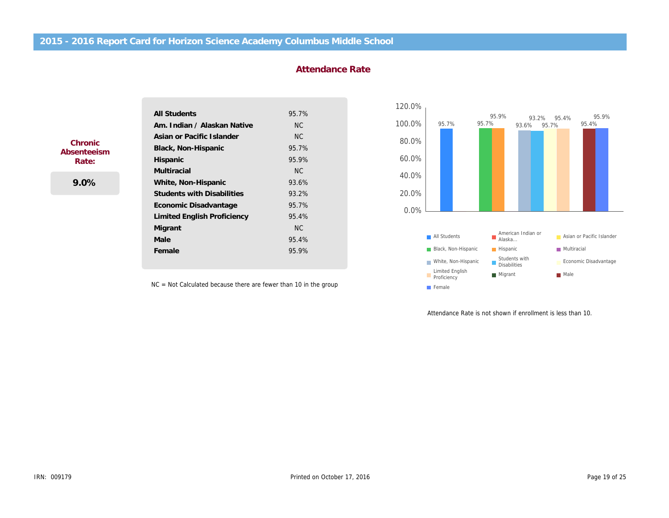| All Students                       | 95.7% |
|------------------------------------|-------|
| Am, Indian / Alaskan Native        | NC.   |
| Asian or Pacific Islander          | NC.   |
| Black, Non-Hispanic                | 95.7% |
| Hispanic                           | 95.9% |
| Multiracial                        | NC.   |
| White, Non-Hispanic                | 93.6% |
| <b>Students with Disabilities</b>  | 93.2% |
| Economic Disadvantage              | 95.7% |
| <b>Limited English Proficiency</b> | 95.4% |
| Migrant                            | NC.   |
| Male                               | 95.4% |
| Female                             | 95.9% |

# **Attendance Rate**

NC = Not Calculated because there are fewer than 10 in the group



Attendance Rate is not shown if enrollment is less than 10.

**Chronic Absenteeism Rate:**

**9.0%**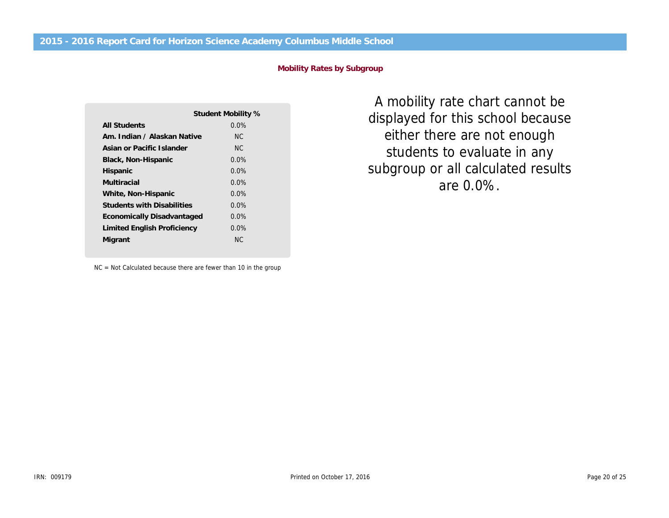**Mobility Rates by Subgroup**

|                                   | Student Mobility % |
|-----------------------------------|--------------------|
| All Students                      | $0.0\%$            |
| Am, Indian / Alaskan Native       | NC.                |
| Asian or Pacific Islander         | NC.                |
| Black, Non-Hispanic               | $0.0\%$            |
| Hispanic                          | $0.0\%$            |
| Multiracial                       | $0.0\%$            |
| White, Non-Hispanic               | $0.0\%$            |
| <b>Students with Disabilities</b> | $0.0\%$            |
| Economically Disadvantaged        | $0.0\%$            |
| Limited English Proficiency       | $0.0\%$            |
| Migrant                           | NC.                |
|                                   |                    |

NC = Not Calculated because there are fewer than 10 in the group

subgroup or all calculated results displayed for this school because 400% *A mobility rate chart cannot be* students to evaluate in any *either there are not enough are 0.0%.*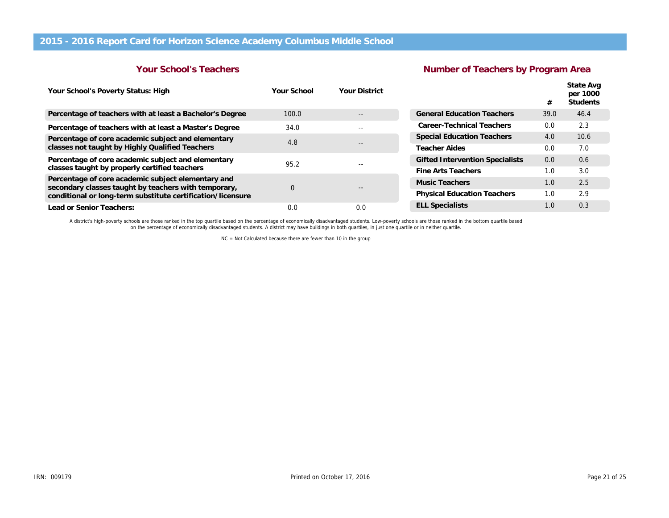# **Your School's Teachers**

# **Number of Teachers by Program Area**

| Your School's Poverty Status: High                                                                                                                                        | Your School  | Your District |                                    | #    | State Avg<br>per 1000<br>Students |
|---------------------------------------------------------------------------------------------------------------------------------------------------------------------------|--------------|---------------|------------------------------------|------|-----------------------------------|
| Percentage of teachers with at least a Bachelor's Degree                                                                                                                  | 100.0        |               | <b>General Education Teachers</b>  | 39.0 | 46.4                              |
| Percentage of teachers with at least a Master's Degree                                                                                                                    | 34.0         | $- -$         | Career-Technical Teachers          | 0.0  | 2.3                               |
| Percentage of core academic subject and elementary                                                                                                                        | 4.8<br>$- -$ |               | <b>Special Education Teachers</b>  | 4.0  | 10.6                              |
| classes not taught by Highly Qualified Teachers                                                                                                                           |              | Teacher Aides | 0.0                                | 7.0  |                                   |
| Percentage of core academic subject and elementary                                                                                                                        | 95.2         |               | Gifted Intervention Specialists    | 0.0  | 0.6                               |
| classes taught by properly certified teachers                                                                                                                             |              |               | Fine Arts Teachers                 | 1.0  | 3.0                               |
| Percentage of core academic subject elementary and<br>secondary classes taught by teachers with temporary,<br>conditional or long-term substitute certification/licensure | $\Omega$     |               | Music Teachers                     | 1.0  | 2.5                               |
|                                                                                                                                                                           |              |               | <b>Physical Education Teachers</b> | 1.0  | 2.9                               |
| Lead or Senior Teachers:                                                                                                                                                  | 0.0          | 0.0           | <b>ELL Specialists</b>             | 1.0  | 0.3                               |

A district's high-poverty schools are those ranked in the top quartile based on the percentage of economically disadvantaged students. Low-poverty schools are those ranked in the bottom quartile based<br>on the percentage of

NC = Not Calculated because there are fewer than 10 in the group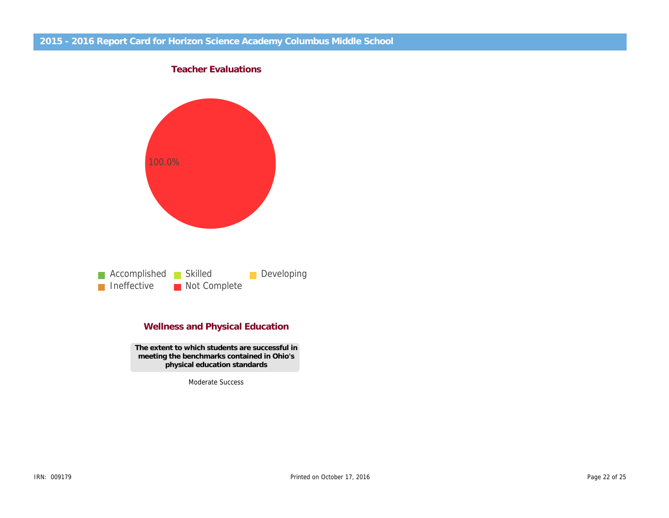

# **Wellness and Physical Education**

**The extent to which students are successful in meeting the benchmarks contained in Ohio's physical education standards**

Moderate Success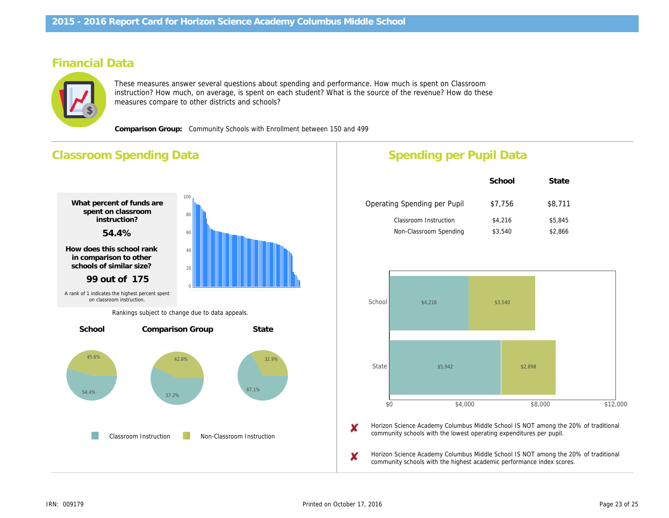# **Financial Data**



These measures answer several questions about spending and performance. How much is spent on Classroom instruction? How much, on average, is spent on each student? What is the source of the revenue? How do these measures compare to other districts and schools?

**Comparison Group:** Community Schools with Enrollment between 150 and 499

# **Classroom Spending Data** 57.2% 42.8% **What percent of funds are spent on classroom instruction? 54.4% How does this school rank in comparison to other schools of similar size? 99 out of 175 Percentage Spent for Non-Classroom Instruction Rank in comparison group Comparison Group State** 54.4% 45.6% 67.1% 32.9% **School** 0 20 40 60 80 100 Classroom Instruction Non-Classroom Instruction *A rank of 1 indicates the highest percent spent on classroom instruction. Rankings subject to change due to data appeals.*

# **Spending per Pupil Data**

|                              | School  | State   |
|------------------------------|---------|---------|
| Operating Spending per Pupil | \$7,756 | \$8,711 |
| Classroom Instruction        | \$4,216 | \$5,845 |
| Non-Classroom Spending       | \$3,540 | \$2,866 |



X Horizon Science Academy Columbus Middle School IS NOT among the 20% of traditional community schools with the lowest operating expenditures per pupil.

Horizon Science Academy Columbus Middle School IS NOT among the 20% of traditional community schools with the highest academic performance index scores.

x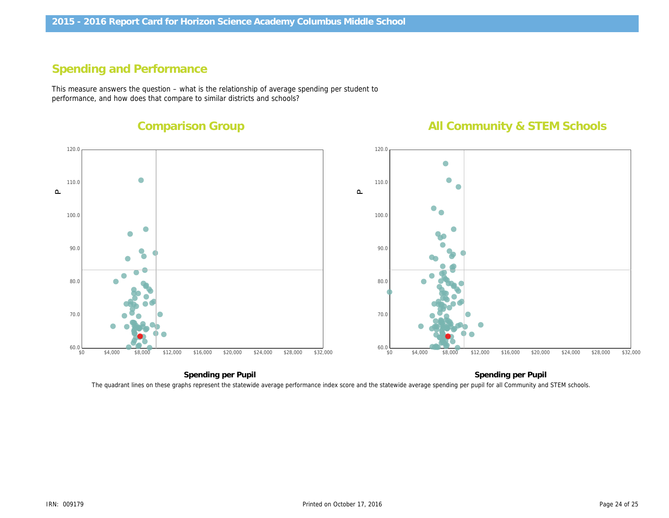# **Spending and Performance**

This measure answers the question – what is the relationship of average spending per student to performance, and how does that compare to similar districts and schools?

# **Comparison Group**

# **All Community & STEM Schools**



The quadrant lines on these graphs represent the statewide average performance index score and the statewide average spending per pupil for all Community and STEM schools.